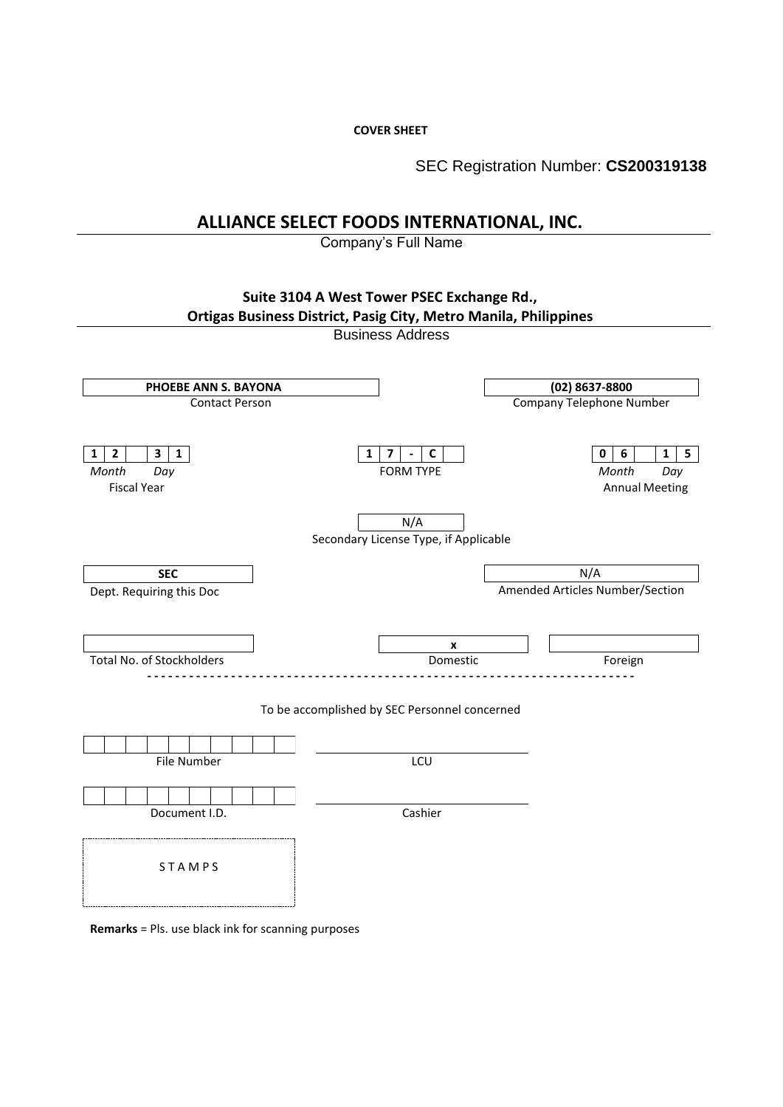**COVER SHEET**

SEC Registration Number: **CS200319138**

# **ALLIANCE SELECT FOODS INTERNATIONAL, INC.**

Company's Full Name



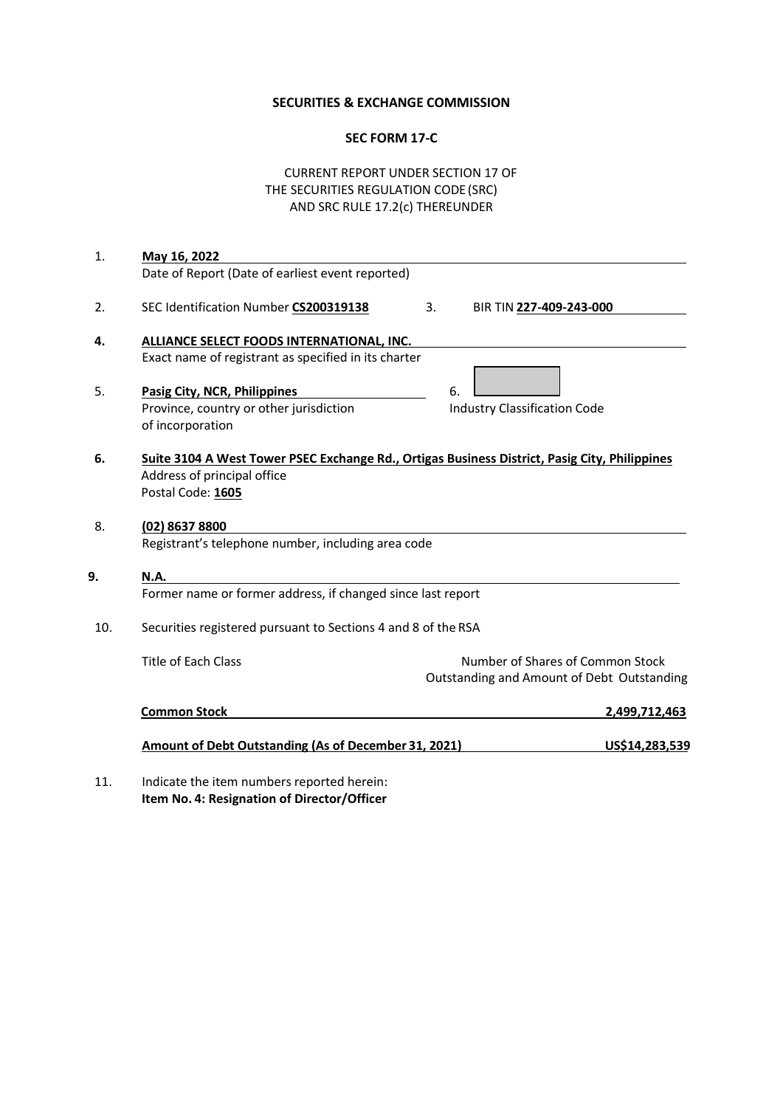## **SECURITIES & EXCHANGE COMMISSION**

## **SEC FORM 17-C**

# CURRENT REPORT UNDER SECTION 17 OF THE SECURITIES REGULATION CODE (SRC) AND SRC RULE 17.2(c) THEREUNDER

| 1.  | May 16, 2022                                                                                                                                      |    |                                           |                                                                                |
|-----|---------------------------------------------------------------------------------------------------------------------------------------------------|----|-------------------------------------------|--------------------------------------------------------------------------------|
|     | Date of Report (Date of earliest event reported)                                                                                                  |    |                                           |                                                                                |
| 2.  | SEC Identification Number CS200319138                                                                                                             | 3. | BIR TIN 227-409-243-000                   |                                                                                |
| 4.  | ALLIANCE SELECT FOODS INTERNATIONAL, INC.<br>Exact name of registrant as specified in its charter                                                 |    |                                           |                                                                                |
| 5.  | Pasig City, NCR, Philippines<br>Province, country or other jurisdiction<br>of incorporation                                                       |    | 6.<br><b>Industry Classification Code</b> |                                                                                |
|     | Suite 3104 A West Tower PSEC Exchange Rd., Ortigas Business District, Pasig City, Philippines<br>Address of principal office<br>Postal Code: 1605 |    |                                           |                                                                                |
|     | (02) 8637 8800<br>Registrant's telephone number, including area code                                                                              |    |                                           |                                                                                |
|     | <b>N.A.</b>                                                                                                                                       |    |                                           |                                                                                |
|     | Former name or former address, if changed since last report                                                                                       |    |                                           |                                                                                |
| 10. | Securities registered pursuant to Sections 4 and 8 of the RSA                                                                                     |    |                                           |                                                                                |
|     | <b>Title of Each Class</b>                                                                                                                        |    |                                           | Number of Shares of Common Stock<br>Outstanding and Amount of Debt Outstanding |
|     | <b>Common Stock</b>                                                                                                                               |    |                                           | 2,499,712,463                                                                  |
|     | <b>Amount of Debt Outstanding (As of December 31, 2021)</b>                                                                                       |    |                                           | US\$14,283,539                                                                 |
|     | Indicate the item numbers reported herein:                                                                                                        |    |                                           |                                                                                |

11. Indicate the item numbers reported herein: **Item No. 4: Resignation of Director/Officer**